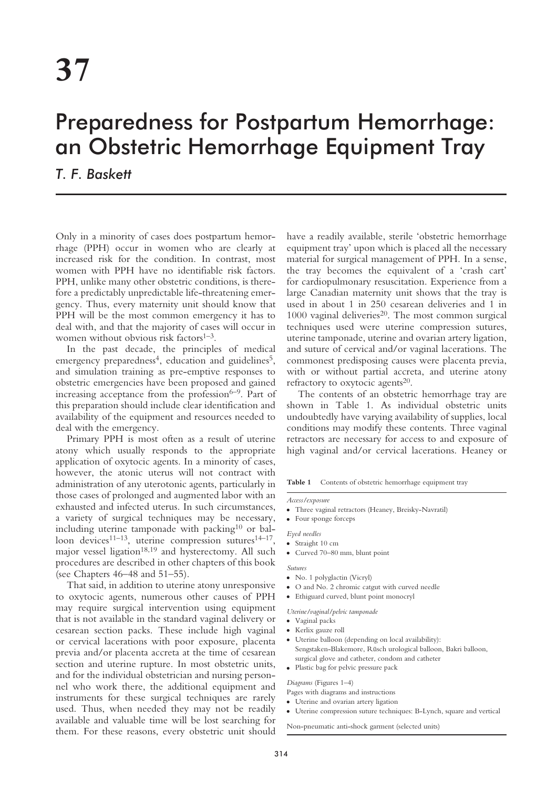# Preparedness for Postpartum Hemorrhage: an Obstetric Hemorrhage Equipment Tray

*T. F. Baskett*

Only in a minority of cases does postpartum hemorrhage (PPH) occur in women who are clearly at increased risk for the condition. In contrast, most women with PPH have no identifiable risk factors. PPH, unlike many other obstetric conditions, is therefore a predictably unpredictable life-threatening emergency. Thus, every maternity unit should know that PPH will be the most common emergency it has to deal with, and that the majority of cases will occur in women without obvious risk factors $1-3$ .

In the past decade, the principles of medical emergency preparedness<sup>4</sup>, education and guidelines<sup>5</sup>, and simulation training as pre-emptive responses to obstetric emergencies have been proposed and gained increasing acceptance from the profession<sup>6-9</sup>. Part of this preparation should include clear identification and availability of the equipment and resources needed to deal with the emergency.

Primary PPH is most often as a result of uterine atony which usually responds to the appropriate application of oxytocic agents. In a minority of cases, however, the atonic uterus will not contract with administration of any uterotonic agents, particularly in those cases of prolonged and augmented labor with an exhausted and infected uterus. In such circumstances, a variety of surgical techniques may be necessary, including uterine tamponade with packing<sup>10</sup> or balloon devices<sup>11–13</sup>, uterine compression sutures<sup>14–17</sup>, major vessel ligation<sup>18,19</sup> and hysterectomy. All such procedures are described in other chapters of this book (see Chapters 46–48 and 51–55).

That said, in addition to uterine atony unresponsive to oxytocic agents, numerous other causes of PPH may require surgical intervention using equipment that is not available in the standard vaginal delivery or cesarean section packs. These include high vaginal or cervical lacerations with poor exposure, placenta previa and/or placenta accreta at the time of cesarean section and uterine rupture. In most obstetric units, and for the individual obstetrician and nursing personnel who work there, the additional equipment and instruments for these surgical techniques are rarely used. Thus, when needed they may not be readily available and valuable time will be lost searching for them. For these reasons, every obstetric unit should have a readily available, sterile 'obstetric hemorrhage equipment tray' upon which is placed all the necessary material for surgical management of PPH. In a sense, the tray becomes the equivalent of a 'crash cart' for cardiopulmonary resuscitation. Experience from a large Canadian maternity unit shows that the tray is used in about 1 in 250 cesarean deliveries and 1 in  $1000$  vaginal deliveries<sup>20</sup>. The most common surgical techniques used were uterine compression sutures, uterine tamponade, uterine and ovarian artery ligation, and suture of cervical and/or vaginal lacerations. The commonest predisposing causes were placenta previa, with or without partial accreta, and uterine atony refractory to oxytocic agents<sup>20</sup>.

The contents of an obstetric hemorrhage tray are shown in Table 1. As individual obstetric units undoubtedly have varying availability of supplies, local conditions may modify these contents. Three vaginal retractors are necessary for access to and exposure of high vaginal and/or cervical lacerations. Heaney or

Table 1 Contents of obstetric hemorrhage equipment tray

#### *Access/exposure*

● Three vaginal retractors (Heaney, Breisky-Navratil)

● Four sponge forceps

### *Eyed needles*

- Straight 10 cm
- Curved 70–80 mm, blunt point

## *Sutures*

- No. 1 polyglactin (Vicryl)
- O and No. 2 chromic catgut with curved needle
- Ethiguard curved, blunt point monocryl

*Uterine/vaginal/pelvic tamponade*

- Vaginal packs
- Kerlix gauze roll
- Uterine balloon (depending on local availability): Sengstaken-Blakemore, Rüsch urological balloon, Bakri balloon, surgical glove and catheter, condom and catheter
- Plastic bag for pelvic pressure pack

#### *Diagrams* (Figures 1–4)

Pages with diagrams and instructions

● Uterine and ovarian artery ligation

● Uterine compression suture techniques: B-Lynch, square and vertical

Non-pneumatic anti-shock garment (selected units)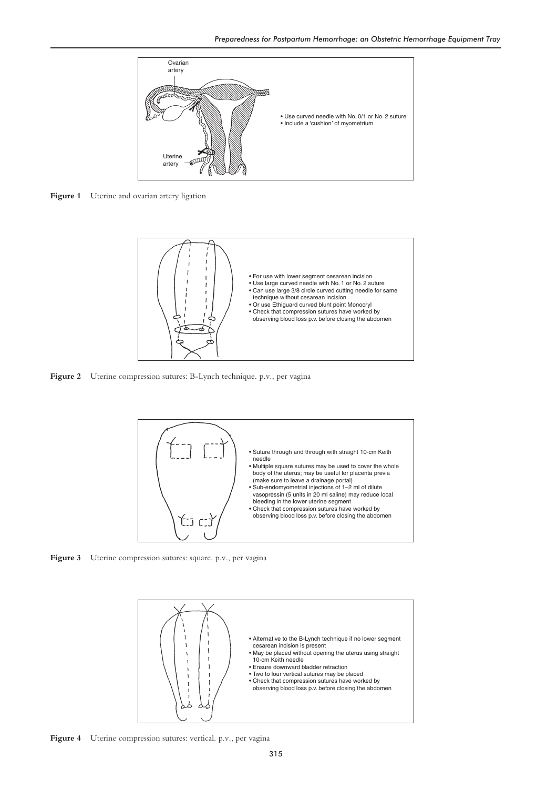

Figure 1 Uterine and ovarian artery ligation



**Figure 2** Uterine compression sutures: B-Lynch technique. p.v., per vagina



Figure 3 Uterine compression sutures: square. p.v., per vagina



**Figure 4** Uterine compression sutures: vertical. p.v., per vagina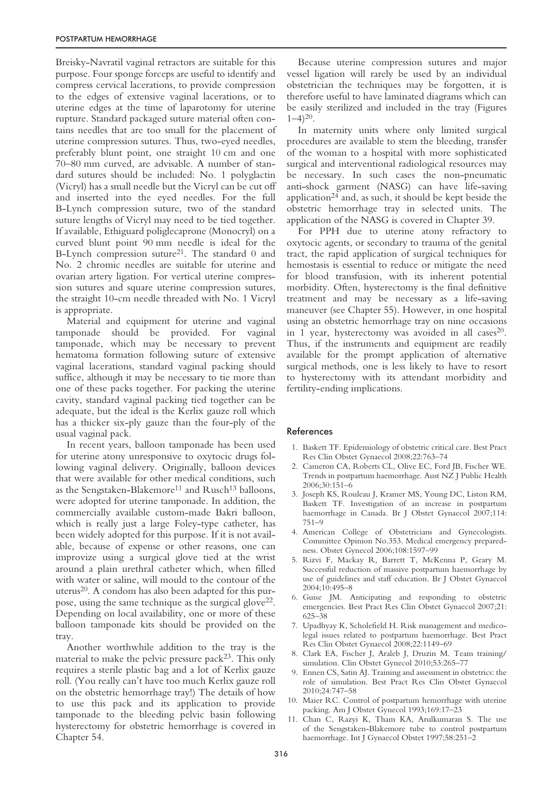Breisky-Navratil vaginal retractors are suitable for this purpose. Four sponge forceps are useful to identify and compress cervical lacerations, to provide compression to the edges of extensive vaginal lacerations, or to uterine edges at the time of laparotomy for uterine rupture. Standard packaged suture material often contains needles that are too small for the placement of uterine compression sutures. Thus, two-eyed needles, preferably blunt point, one straight 10 cm and one 70–80 mm curved, are advisable. A number of standard sutures should be included: No. 1 polyglactin (Vicryl) has a small needle but the Vicryl can be cut off and inserted into the eyed needles. For the full B-Lynch compression suture, two of the standard suture lengths of Vicryl may need to be tied together. If available, Ethiguard poliglecaprone (Monocryl) on a curved blunt point 90 mm needle is ideal for the B-Lynch compression suture<sup>21</sup>. The standard 0 and No. 2 chromic needles are suitable for uterine and ovarian artery ligation. For vertical uterine compression sutures and square uterine compression sutures, the straight 10-cm needle threaded with No. 1 Vicryl is appropriate.

Material and equipment for uterine and vaginal tamponade should be provided. For vaginal tamponade, which may be necessary to prevent hematoma formation following suture of extensive vaginal lacerations, standard vaginal packing should suffice, although it may be necessary to tie more than one of these packs together. For packing the uterine cavity, standard vaginal packing tied together can be adequate, but the ideal is the Kerlix gauze roll which has a thicker six-ply gauze than the four-ply of the usual vaginal pack.

In recent years, balloon tamponade has been used for uterine atony unresponsive to oxytocic drugs following vaginal delivery. Originally, balloon devices that were available for other medical conditions, such as the Sengstaken-Blakemore<sup>11</sup> and Rusch<sup>13</sup> balloons, were adopted for uterine tamponade. In addition, the commercially available custom-made Bakri balloon, which is really just a large Foley-type catheter, has been widely adopted for this purpose. If it is not available, because of expense or other reasons, one can improvize using a surgical glove tied at the wrist around a plain urethral catheter which, when filled with water or saline, will mould to the contour of the uterus20. A condom has also been adapted for this purpose, using the same technique as the surgical glove22. Depending on local availability, one or more of these balloon tamponade kits should be provided on the tray.

Another worthwhile addition to the tray is the material to make the pelvic pressure pack23. This only requires a sterile plastic bag and a lot of Kerlix gauze roll. (You really can't have too much Kerlix gauze roll on the obstetric hemorrhage tray!) The details of how to use this pack and its application to provide tamponade to the bleeding pelvic basin following hysterectomy for obstetric hemorrhage is covered in Chapter 54.

Because uterine compression sutures and major vessel ligation will rarely be used by an individual obstetrician the techniques may be forgotten, it is therefore useful to have laminated diagrams which can be easily sterilized and included in the tray (Figures  $1-4$ )<sup>20</sup>.

In maternity units where only limited surgical procedures are available to stem the bleeding, transfer of the woman to a hospital with more sophisticated surgical and interventional radiological resources may be necessary. In such cases the non-pneumatic anti-shock garment (NASG) can have life-saving application24 and, as such, it should be kept beside the obstetric hemorrhage tray in selected units. The application of the NASG is covered in Chapter 39.

For PPH due to uterine atony refractory to oxytocic agents, or secondary to trauma of the genital tract, the rapid application of surgical techniques for hemostasis is essential to reduce or mitigate the need for blood transfusion, with its inherent potential morbidity. Often, hysterectomy is the final definitive treatment and may be necessary as a life-saving maneuver (see Chapter 55). However, in one hospital using an obstetric hemorrhage tray on nine occasions in 1 year, hysterectomy was avoided in all cases $20$ . Thus, if the instruments and equipment are readily available for the prompt application of alternative surgical methods, one is less likely to have to resort to hysterectomy with its attendant morbidity and fertility-ending implications.

# References

- 1. Baskett TF. Epidemiology of obstetric critical care. Best Pract Res Clin Obstet Gynaecol 2008;22:763–74
- 2. Cameron CA, Roberts CL, Olive EC, Ford JB, Fischer WE. Trends in postpartum haemorrhage. Aust NZ J Public Health 2006;30:151–6
- 3. Joseph KS, Rouleau J, Kramer MS, Young DC, Liston RM, Baskett TF. Investigation of an increase in postpartum haemorrhage in Canada. Br J Obstet Gynaecol 2007;114: 751–9
- 4. American College of Obstetricians and Gynecologists. Committee Opinion No.353. Medical emergency preparedness. Obstet Gynecol 2006;108:1597–99
- 5. Rizvi F, Mackay R, Barrett T, McKenna P, Geary M. Successful reduction of massive postpartum haemorrhage by use of guidelines and staff education. Br J Obstet Gynaecol 2004;10:495–8
- 6. Guise JM. Anticipating and responding to obstetric emergencies. Best Pract Res Clin Obstet Gynaecol 2007;21: 625–38
- 7. Upadhyay K, Scholefield H. Risk management and medicolegal issues related to postpartum haemorrhage. Best Pract Res Clin Obstet Gynaecol 2008;22:1149–69
- 8. Clark EA, Fischer J, Araleb J, Druzin M. Team training/ simulation. Clin Obstet Gynecol 2010;53:265–77
- 9. Ennen CS, Satin AJ. Training and assessment in obstetrics: the role of simulation. Best Pract Res Clin Obstet Gynaecol 2010;24:747–58
- 10. Maier RC. Control of postpartum hemorrhage with uterine packing. Am J Obstet Gynecol 1993;169:17-23
- 11. Chan C, Razyi K, Tham KA, Arulkumaran S. The use of the Sengstaken-Blakemore tube to control postpartum haemorrhage. Int J Gynaecol Obstet 1997;58:251–2